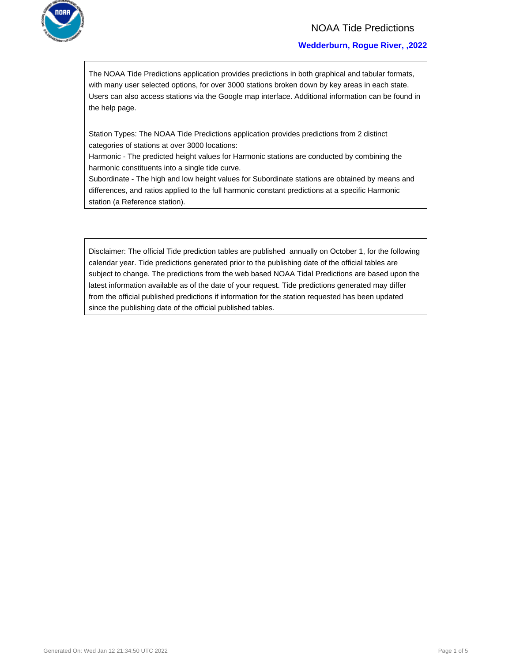

### NOAA Tide Predictions

### **Wedderburn, Rogue River, ,2022**

The NOAA Tide Predictions application provides predictions in both graphical and tabular formats, with many user selected options, for over 3000 stations broken down by key areas in each state. Users can also access stations via the Google map interface. Additional information can be found in the help page.

Station Types: The NOAA Tide Predictions application provides predictions from 2 distinct categories of stations at over 3000 locations:

Harmonic - The predicted height values for Harmonic stations are conducted by combining the harmonic constituents into a single tide curve.

Subordinate - The high and low height values for Subordinate stations are obtained by means and differences, and ratios applied to the full harmonic constant predictions at a specific Harmonic station (a Reference station).

Disclaimer: The official Tide prediction tables are published annually on October 1, for the following calendar year. Tide predictions generated prior to the publishing date of the official tables are subject to change. The predictions from the web based NOAA Tidal Predictions are based upon the latest information available as of the date of your request. Tide predictions generated may differ from the official published predictions if information for the station requested has been updated since the publishing date of the official published tables.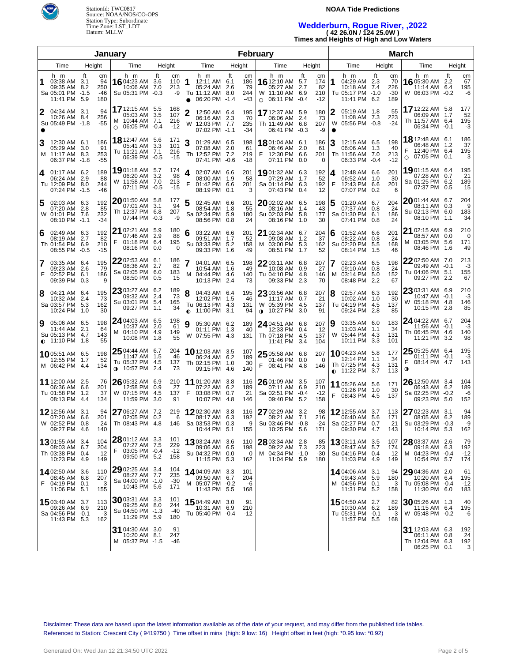

StationId: TWC0817 Source: NOAA/NOS/CO-OPS Station Type: Subordinate Time Zone: LST\_LDT Datum: MLLW

#### **NOAA Tide Predictions**

# **Wedderburn, Rogue River, ,2022 ( 42 26.0N / 124 25.0W )**

**Times and Heights of High and Low Waters**

|                                                                                   | January                                                                                               |                                     |                                                                                           |                                        | February                                                                  |                                              | <b>March</b>                                                                                                          |                                                                       |                             |
|-----------------------------------------------------------------------------------|-------------------------------------------------------------------------------------------------------|-------------------------------------|-------------------------------------------------------------------------------------------|----------------------------------------|---------------------------------------------------------------------------|----------------------------------------------|-----------------------------------------------------------------------------------------------------------------------|-----------------------------------------------------------------------|-----------------------------|
| Time<br>Height                                                                    | Time                                                                                                  | Height                              | Time                                                                                      | Height                                 | Time                                                                      | Height                                       | Time<br>Height                                                                                                        | Time                                                                  | Height                      |
| h m<br>ft<br>03:38 AM 3.1<br>09:35 AM<br>8.2<br>Sa 05:01 PM -1.5<br>11:41 PM 5.9  | h m<br>cm<br>16 04:23 AM 3.6<br>94<br>10:06 AM 7.0<br>250<br>-46<br>Su 05:31 PM -0.3<br>180           | ft<br>cm<br>110<br>213<br>-9        | h m<br>1<br>12:11 AM 6.1<br>05:24 AM 2.6<br>Tu 11:12 AM 8.0<br>06:20 PM -1.4<br>$\bullet$ | ft<br>cm<br>186<br>-79<br>244<br>$-43$ | h m<br>16 12:10 AM 5.7<br>05:27 AM<br>W 11:10 AM 6.9<br>$O$ 06:11 PM -0.4 | ft<br>cm<br>174<br>2.7<br>82<br>210<br>$-12$ | ft<br>h m<br>cm<br>1<br>04:29 AM 2.3<br>70<br>226<br>10:18 AM 7.4<br>$-30$<br>Tu 05:17 PM -1.0<br>11:41 PM 6.2<br>189 | h m<br>16 05:30 AM 2.2<br>11:14 AM 6.4<br>W 06:03 PM -0.2             | ft<br>cm<br>67<br>195<br>-6 |
| 04:34 AM 3.1<br>2<br>10:26 AM 8.4<br>Su 05:49 PM -1.8                             | 17 12:15 AM 5.5<br>94<br>05:03 AM 3.5<br>256<br>M 10:44 AM 7.1<br>$-55$<br>06:05 PM -0.4<br>$\circ$   | 168<br>107<br>216<br>$-12$          | $\overline{2}$<br>12:50 AM 6.4<br>06:16 AM 2.3<br>12:03 PM 7.7<br>W<br>07:02 PM -1.1      | 195<br>70<br>235<br>-34                | 17 12:37 AM 5.9<br>06:06 AM<br>Th 11:49 AM 6.8<br>06:41 PM -0.3           | 180<br>-2.4<br>73<br>207<br>-9               | 05:19 AM 1.8<br>55<br>2<br>11:08 AM 7.3<br>223<br>$-24$<br>05:56 PM -0.8<br>W                                         | 17 12:22 AM 5.8<br>06:09 AM 1.7<br>Th 11:57 AM 6.4<br>06:34 PM -0.1   | 177<br>52<br>195<br>-3      |
| 3<br>12:30 AM 6.1<br>05:29 AM 3.0<br>M 11:17 AM 8.3<br>06:37 PM -1.8              | 18 12:47 AM 5.6<br>186<br>05:41 AM 3.3<br>91<br>Tu 11:21 AM 7.1<br>253<br>06:39 PM -0.5<br>-55        | 171<br>101<br>216<br>$-15$          | 3<br>01:29 AM 6.5<br>07:08 AM 2.0<br>Th 12:52 PM 7.2<br>07:41 PM -0.6                     | 198<br>61<br>219<br>$-18$              | 1801:04 AM 6.1<br>06:46 AM<br>F<br>12:30 PM 6.6<br>07:11 PM 0.0           | 186<br>2.0<br>61<br>201<br>$\Omega$          | 3<br>12:15 AM 6.5<br>198<br>06:06 AM 1.3<br>40<br>Th 11:56 AM 7.0<br>213<br>06:33 PM -0.4<br>$-12$                    | 18 12:48 AM 6.1<br>06:48 AM 1.2<br>12:40 PM 6.4<br>07:05 PM 0.1<br>O  | 186<br>37<br>195<br>3       |
| $4$ 01:17 AM 6.2<br>06:24 AM 2.9<br>Tu 12:09 PM 8.0<br>07:24 PM -1.5              | 1901:18 AM 5.7<br>189<br>06:20 AM 3.2<br>88<br>11:58 AM 7.0<br>W<br>244<br>07:11 PM<br>-46            | 174<br>98<br>213<br>$-0.5$<br>$-15$ | 4<br>02:07 AM 6.6<br>08:00 AM 1.9<br>F<br>01:42 PM 6.6<br>08:19 PM 0.1                    | 201<br>58<br>201<br>3                  | 1901:32 AM 6.3<br>07:29 AM<br>Sa 01:14 PM 6.3<br>07:43 PM                 | 192<br>52<br>1.7<br>192<br>12<br>0.4         | 201<br>12:48 AM 6.6<br>4<br>30<br>06:52 AM 1.0<br>F<br>12:43 PM 6.6<br>201<br>07:07 PM 0.2<br>6                       | 19 01:15 AM 6.4<br>07:28 AM 0.7<br>Sa 01:25 PM 6.2<br>07:37 PM 0.5    | 195<br>21<br>189<br>15      |
| 5<br>02:03 AM 6.3<br>07:20 AM 2.8<br>W 01:01 PM 7.6<br>08:10 PM -1.1              | 2001:50 AM 5.8<br>192<br>07:01 AM 3.1<br>85<br>Th 12:37 PM 6.8<br>232<br>07:44 PM -0.3<br>$-34$       | 177<br>94<br>207<br>-9              | 5<br>02:45 AM 6.6<br>08:54 AM 1.8<br>Sa 02:34 PM 5.9<br>08:56 PM 0.8                      | 201<br>55<br>180<br>24                 | 2002:02 AM 6.5<br>08:16 AM<br>Su 02:03 PM 5.8<br>08:16 PM 1.0             | 198<br>1.4<br>43<br>177<br>30                | 204<br>5<br>01:20 AM 6.7<br>07:37 AM 0.8<br>24<br>Sa 01:30 PM 6.1<br>186<br>07:41 PM 0.8<br>24                        | 2001:44 AM 6.7<br>08:11 AM 0.3<br>Su 02:13 PM 6.0<br>08:10 PM 1.1     | 204<br>9<br>183<br>34       |
| 02:49 AM 6.3<br>6<br>2.7<br>08:19 AM<br>Th 01:54 PM 6.9<br>08:55 PM -0.5          | 21 02:21 AM 5.9<br>192<br>07:46 AM 2.9<br>82<br>F<br>01:18 PM 6.4<br>210<br>08:16 PM 0.0<br>$-15$     | 180<br>88<br>195<br>0               | 6<br>03:22 AM 6.6<br>09:51 AM 1.7<br>Su 03:33 PM 5.2<br>09:33 PM 1.6                      | 201<br>52<br>158<br>49                 | 21 02:34 AM 6.7<br>09:08 AM<br>M 03:00 PM 5.3<br>08:51 PM 1.7             | 204<br>37<br>1.2<br>162<br>52                | 6<br>01:52 AM 6.6<br>201<br>08:22 AM 0.8<br>24<br>Su 02:20 PM 5.5<br>168<br>08:14 PM 1.5<br>46                        | 21 02:15 AM 6.9<br>08:57 AM 0.0<br>03:05 PM 5.6<br>M<br>08:46 PM 1.6  | 210<br>0<br>171<br>49       |
| 7<br>03:35 AM 6.4<br>09:23 AM 2.6<br>F<br>02:52 PM 6.1<br>09:39 PM 0.3            | 22 02:53 AM 6.1<br>195<br>08:36 AM 2.7<br>79<br>Sa 02:05 PM 6.0<br>186<br>08:50 PM 0.5<br>9           | 186<br>82<br>183<br>15              | 04:01 AM 6.5<br>10:54 AM 1.6<br>M 04:44 PM 4.6<br>10:13 PM 2.4                            | 198<br>49<br>140<br>73                 | $2203:11$ AM 6.8<br>10:08 AM<br>Tu 04:10 PM 4.8<br>09:33 PM               | 207<br>27<br>0.9<br>146<br>2.3<br>70         | 02:23 AM 6.5<br>7<br>198<br>09:10 AM 0.8<br>24<br>03:14 PM 5.0<br>152<br>м<br>08:48 PM 2.2<br>67                      | 2202:50 AM 7.0<br>09:49 AM -0.1<br>Tu 04:06 PM 5.1<br>09:27 PM 2.2    | 213<br>-3<br>155<br>67      |
| 8<br>04:21 AM 6.4<br>2.4<br>10:32 AM<br>Sa 03:57 PM 5.3<br>10:24 PM 1.0           | 23 03:27 AM 6.2<br>195<br>09:32 AM 2.4<br>73<br>Su 03:01 PM 5.4<br>162<br>09:27 PM 1.1<br>30          | 189<br>73<br>165<br>34              | 8<br>04:43 AM 6.4<br>12:02 PM 1.5<br>Tu 06:13 PM 4.3<br>11:00 PM 3.1<br>0                 | 195<br>46<br>131<br>94                 | $2303:56$ AM 6.8<br>11:17 AM<br>W 05:39 PM 4.5<br>$0.10:27 \text{ PM}$    | 207<br>21<br>0.7<br>137<br>3.0<br>91         | 8<br>02:57 AM 6.3<br>192<br>10:02 AM 1.0<br>30<br>Tu 04:19 PM 4.5<br>137<br>09:24 PM 2.8<br>85                        | 23 03:31 AM 6.9<br>10:47 AM -0.1<br>W 05:18 PM 4.8<br>10:15 PM 2.8    | 210<br>-3<br>146<br>85      |
| 9<br>05:06 AM 6.5<br>2.1<br>11:44 AM<br>Su 05:13 PM 4.7<br>$\bullet$ 11:10 PM 1.8 | 24 04:03 AM 6.5<br>198<br>10:37 AM 2.0<br>64<br>04:10 PM 4.9<br>M<br>143<br>10:08 PM<br>55            | 198<br>61<br>149<br>55<br>1.8       | 9<br>05:30 AM 6.2<br>01:11 PM 1.3<br>W 07:55 PM 4.3                                       | 189<br>40<br>131                       | 24,04:51 AM 6.8<br>12:33 PM 0.4<br>Th 07:18 PM 4.5<br>11:41 PM            | 207<br>12<br>137<br>104<br>3.4               | 9<br>03:35 AM 6.0<br>183<br>34<br>11:03 AM 1.1<br>05:44 PM 4.3<br>W<br>131<br>10:11 PM 3.3<br>101                     | 24 04:22 AM 6.7<br>11:56 AM -0.1<br>Th 06:45 PM 4.6<br>11:21 PM 3.2   | 204<br>$-3$<br>140<br>98    |
| 1005:51 AM 6.5<br>12:55 PM 1.7<br>M 06:42 PM 4.4                                  | $2504:44$ AM 6.7<br>198<br>11:47 AM 1.5<br>52<br>Tu 05:37 PM 4.5<br>134<br>10:57 PM 2.4<br>$\bullet$  | 204<br>46<br>137<br>73              | <b>10</b> 12:03 AM 3.5<br>06:24 AM 6.2<br>Th 02:15 PM 1.0<br>09:15 PM 4.6                 | 107<br>189<br>30<br>140                | 25 05:58 AM 6.8<br>01:46 PM 0.0<br>F<br>08:41 PM 4.8                      | 207<br>0<br>146                              | 1004:23 AM 5.8<br>177<br>12:14 PM<br>1.1<br>34<br>Th 07:25 PM 4.3<br>131<br>$\bullet$ 11:22 PM 3.7<br>113             | $2505:25$ AM 6.4<br>01:11 PM -0.1<br>F<br>08:14 PM 4.7<br>$\mathbf o$ | 195<br>-3<br>143            |
| 11 12:00 AM 2.5<br>06:36 AM<br>6.6<br>Tu 01:58 PM<br>1.2<br>08:13 PM 4.4          | 26 05:32 AM 6.9<br>76<br>12:58 PM 0.9<br>201<br>W 07:15 PM 4.5<br>37<br>134<br>11:59 PM 3.0           | 210<br>27<br>137<br>91              | 11 01:20 AM 3.8<br>07:22 AM 6.2<br>03:08 PM 0.7<br>F<br>10:07 PM 4.8                      | 116<br>189<br>21<br>146                | 26 01:09 AM 3.5<br>07:11 AM 6.9<br>Sa 02:51 PM -0.4<br>09:40 PM           | 107<br>210<br>$-12$<br>5.2<br>158            | 11 05:26 AM 5.6<br>171<br>01:26 PM 1.0<br>30<br>F<br>08:43 PM 4.5<br>137                                              | 26 12:50 AM 3.4<br>06:43 AM 6.2<br>Sa 02:25 PM -0.2<br>09:23 PM 5.0   | 104<br>189<br>-6<br>152     |
| <b>12</b> 12:56 AM<br>3.1<br>07:20 AM<br>6.6<br>W 02:52 PM 0.8<br>09:27 PM 4.6    | 27 06:27 AM 7.2<br>94<br>201<br>02:05 PM 0.2<br>24<br>Th 08:43 PM 4.8<br>140                          | 219<br>6<br>146                     | 1202:30 AM 3.8<br>08:17 AM 6.3<br>Sa 03:53 PM 0.3<br>10:44 PM 5.1                         | 116<br>192<br>9<br>155                 | 27 02:29 AM 3.2<br>08:21 AM<br>Su 03:46 PM -0.8<br>10:25 PM 5.6           | 98<br>216<br>7.1<br>-24<br>171               | 1212:55 AM 3.7<br>113<br>06:40 AM 5.6<br>171<br>21<br>Sa 02:27 PM 0.7<br>09:30 PM 4.7<br>143                          | 27 02:23 AM 3.1<br>08:05 AM 6.2<br>Su 03:29 PM -0.3<br>10:14 PM 5.3   | 94<br>189<br>-9<br>162      |
| <b>13</b> 01:55 AM 3.4<br>08:03 AM 6.7<br>Th 03:38 PM 0.4<br>10:23 PM 4.9         | 28 01:12 AM 3.3<br>104<br>07:27 AM 7.5<br>204<br>F<br>03:05 PM -0.4<br>-12<br>09:50 PM 5.2<br>149     | 101<br>229<br>$-12$<br>158          | 1303:24 AM 3.6<br>09:06 AM 6.5<br>Su 04:32 PM 0.0<br>11:15 PM 5.3                         | 110<br>198<br>0<br>162                 | 28 03:34 AM 2.8<br>09:22 AM 7.3<br>M 04:34 PM -1.0<br>11:04 PM 5.9        | 85<br>223<br>-30<br>180                      | <b>13</b> 03:11 AM 3.5<br>107<br>08:47 AM 5.7<br>174<br>Su 04:16 PM 0.4<br>-12<br>11:03 PM 4.9<br>149                 | 28 03:37 AM 2.6<br>09:18 AM 6.3<br>M 04:23 PM -0.4<br>10:54 PM 5.7    | 79<br>192<br>$-12$<br>174   |
| <b>14</b> 02:50 AM 3.6<br>08:45 AM 6.8<br>F 04:19 PM 0.1<br>11:06 PM 5.1          | 29 02:25 AM 3.4<br>110<br>08:27 AM 7.7<br>207<br>Sa 04:00 PM -1.0<br>3<br>10:43 PM 5.6<br>155         | 104<br>235<br>-30<br>171            | 14 04:09 AM 3.3<br>09:50 AM 6.7<br>M 05:07 PM -0.2<br>11:43 PM 5.5                        | 101<br>204<br>-6<br>168                |                                                                           |                                              | 14 04:06 AM 3.1<br>94<br>09:43 AM 5.9<br>180<br>M 04:56 PM 0.1<br>3<br>11:31 PM 5.2<br>158                            | 29 04:36 AM 2.0<br>10:20 AM 6.4<br>Tu 05:08 PM -0.4<br>11:30 PM 6.0   | 61<br>195<br>$-12$<br>183   |
| 15 03:40 AM 3.7<br>09:26 AM 6.9<br>Sa 04:56 PM -0.1<br>11:43 PM 5.3               | <b>30</b> 03:31 AM 3.3<br>113<br>09:25 AM 8.0<br>210<br>Su 04:50 PM -1.3<br>-3<br>11:29 PM 5.9<br>162 | 101<br>244<br>-40<br>180            | 15 04:49 AM 3.0<br>10:31 AM 6.9<br>Tu 05:40 PM -0.4                                       | 91<br>210<br>$-12$                     |                                                                           |                                              | <b>15</b> 04:50 AM 2.7<br>82<br>10:30 AM 6.2<br>189<br>Tu 05:31 PM -0.1<br>-3<br>11:57 PM 5.5<br>168                  | 30 05:26 AM 1.3<br>11:15 AM 6.4<br>W 05:48 PM -0.2                    | 40<br>195<br>-6             |
|                                                                                   | 31 04:30 AM 3.0<br>10:20 AM 8.1<br>M 05:37 PM -1.5                                                    | 91<br>247<br>-46                    |                                                                                           |                                        |                                                                           |                                              |                                                                                                                       | 31 12:03 AM 6.3<br>06:11 AM 0.8<br>Th 12:04 PM 6.3<br>06:25 PM 0.1    | 192<br>24<br>192<br>3       |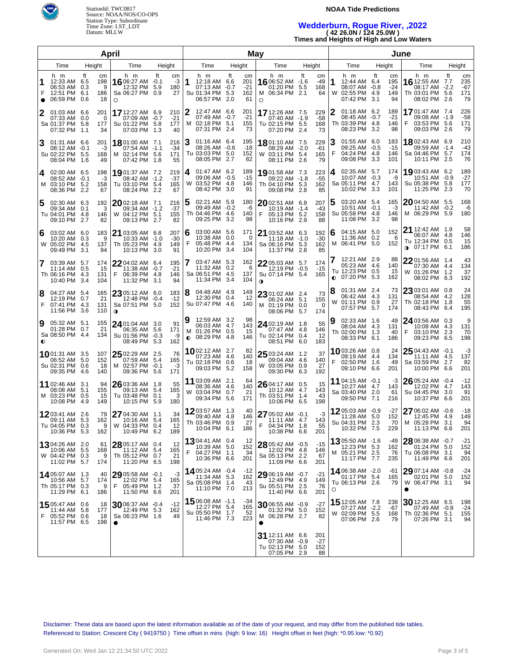



### **NOAA Tide Predictions**

## **Wedderburn, Rogue River, ,2022 ( 42 26.0N / 124 25.0W )**

**Times and Heights of High and Low Waters**

| April  |                                                                    |                                         |                                                                       |                               | May    |                                                                           |    |                                 |                                                                           |        |                           | June   |                                                                           |                   |                                 |                                                                                   |        |                               |
|--------|--------------------------------------------------------------------|-----------------------------------------|-----------------------------------------------------------------------|-------------------------------|--------|---------------------------------------------------------------------------|----|---------------------------------|---------------------------------------------------------------------------|--------|---------------------------|--------|---------------------------------------------------------------------------|-------------------|---------------------------------|-----------------------------------------------------------------------------------|--------|-------------------------------|
|        | Time                                                               | Height                                  | Time                                                                  | Height                        |        | Time                                                                      |    | Height                          | Time                                                                      | Height |                           |        | Time                                                                      | Height            |                                 | Time                                                                              | Height |                               |
| F      | h m<br>12:33 AM 6.5<br>06:53 AM 0.3<br>12:51 PM<br>06:59 PM 0.6    | Ħ<br>cm<br>198<br>9<br>6.1<br>186<br>18 | h m<br>16 06:27 AM -0.1<br>12:32 PM 5.9<br>Sa 06:27 PM 0.9<br>O       | Ħ.<br>cm<br>$-3$<br>180<br>27 | 1      | h m<br>12:18 AM 6.6<br>07:13 AM -0.7<br>Su 01:34 PM 5.3<br>06:57 PM 2.0   | ft | cm<br>201<br>$-21$<br>162<br>61 | h m<br>16 06:52 AM -1.6<br>01:20 PM 5.5<br>M 06:34 PM 2.1<br>O            | ft     | cm<br>-49<br>168<br>64    | 1<br>W | h m<br>12:44 AM 6.4<br>08:07 AM -0.8<br>02:55 PM<br>07:42 PM              | Ħ.<br>-4.9<br>3.1 | cm<br>195<br>$-24$<br>149<br>94 | h m<br><b>16</b> 12:55 AM 7.7<br>08:17 AM -2.2<br>Th 03:01 PM 5.6<br>08:02 PM 2.6 | ft     | cm<br>235<br>-67<br>171<br>79 |
| 2      | 01:03 AM 6.6<br>07:33 AM 0.0<br>Sa 01:37 PM 5.8<br>07:32 PM        | 201<br>0<br>177<br>1.1<br>34            | 17 12:27 AM 6.9<br>07:09 AM -0.7<br>Su 01:22 PM 5.8<br>07:03 PM 1.3   | 210<br>$-21$<br>177<br>40     | 2      | 12:47 AM 6.6<br>07:49 AM -0.7<br>M 02:18 PM 5.1<br>07:31 PM 2.4           |    | 201<br>$-21$<br>155<br>73       | 17 12:26 AM 7.5<br>07:40 AM -1.9<br>Tu 02:15 PM 5.5<br>07:20 PM 2.4       |        | 229<br>$-58$<br>168<br>73 | 2      | 01:18 AM 6.2<br>08:45 AM -0.7<br>Th 03:39 PM 4.8<br>08:23 PM 3.2          |                   | 189<br>$-21$<br>146<br>98       | 1701:47 AM 7.4<br>09:08 AM -1.9<br>03:53 PM 5.6<br>F<br>09:03 PM 2.6              |        | 226<br>-58<br>171<br>79       |
| 3      | 01:31 AM 6.6<br>08:12 AM -0.1<br>Su 02:22 PM 5.5<br>08:04 PM 1.6   | 201<br>-3<br>168<br>49                  | 18 01:00 AM 7.1<br>07:54 AM -1.1<br>M 02:14 PM 5.6<br>07:42 PM 1.8    | 216<br>-34<br>171<br>55       | 3      | 01:16 AM 6.4<br>08:26 AM -0.6<br>Tu 03:03 PM 5.0<br>08:05 PM 2.7          |    | 195<br>$-18$<br>152<br>82       | <b>18</b> 01:10 AM 7.5<br>08:29 AM -2.0<br>W 03:11 PM 5.4<br>08:11 PM 2.6 |        | 229<br>-61<br>165<br>79   | 3<br>F | 01:55 AM 6.0<br>09:25 AM -0.5<br>04:24 PM 4.8<br>09:08 PM                 | 3.3               | 183<br>-15<br>146<br>101        | 18802:43 AM 6.9<br>09:59 AM -1.4<br>Sa 04:46 PM 5.7<br>10:11 PM 2.5               |        | 210<br>-43<br>174<br>76       |
| 4      | 02:00 AM 6.5<br>08:52 AM -0.1<br>M 03:10 PM 5.2<br>08:36 PM        | 198<br>-3<br>158<br>2.2<br>67           | 1901:37 AM 7.2<br>08:42 AM -1.2<br>Tu 03:10 PM 5.4<br>08:24 PM 2.2    | 219<br>$-37$<br>165<br>67     | 4      | 01:47 AM 6.2<br>09:06 AM -0.5<br>W 03:52 PM 4.8<br>08:42 PM 3.0           |    | 189<br>$-15$<br>146<br>91       | 19 01:58 AM 7.3<br>09:22 AM -1.8<br>Th 04:10 PM 5.3<br>09:08 PM 2.8       |        | 223<br>$-55$<br>162<br>85 | 4      | 02:35 AM 5.7<br>10:07 AM -0.3<br>Sa 05:11 PM 4.7<br>10:02 PM 3.3          |                   | 174<br>-9<br>143<br>101         | 19,03:43 AM 6.2<br>10:51 AM -0.9<br>Su 05:38 PM 5.8<br>11:25 PM 2.3               |        | 189<br>$-27$<br>177<br>70     |
| 5      | 02:30 AM 6.3<br>09:34 AM 0.1<br>Tu 04:01 PM 4.8<br>09:10 PM 2.7    | 192<br>3<br>146<br>82                   | $20$ 02:18 AM 7.1<br>09:34 AM -1.2<br>W 04:12 PM 5.1<br>09:13 PM 2.7  | 216<br>$-37$<br>155<br>82     |        | 02:21 AM 5.9<br>09:49 AM -0.2<br>Th 04:46 PM 4.6<br>09:25 PM 3.2          |    | 180<br>-6<br>140<br>98          | 2002:51 AM 6.8<br>10:19 AM -1.4<br>F<br>05:13 PM 5.2<br>10:16 PM 2.9      |        | 207<br>-43<br>158<br>88   |        | 03:20 AM 5.4<br>10:51 AM -0.1<br>Su 05:58 PM 4.8<br>11:08 PM 3.2          |                   | 165<br>-3<br>146<br>98          | 20 04:50 AM 5.5<br>11:42 AM -0.2<br>M 06:29 PM 5.9                                |        | 168<br>-6<br>180              |
| 6      | 03:02 AM 6.0<br>10:20 AM 0.3<br>W 05:02 PM 4.5<br>09:49 PM         | 183<br>9<br>137<br>3.1<br>94            | 21 03:05 AM 6.8<br>10:33 AM -1.0<br>Th 05:23 PM 4.9<br>10:13 PM 3.0   | 207<br>$-30$<br>149<br>91     | 6<br>F | 03:00 AM 5.6<br>10:38 AM 0.0<br>05:48 PM 4.4<br>10:20 PM 3.4              |    | 171<br>0<br>134<br>104          | 21 03:52 AM 6.3<br>$11:18$ AM $-1.0$<br>Sa 06:16 PM 5.3<br>11:37 PM 2.8   |        | 192<br>$-30$<br>162<br>85 | 6      | 04:15 AM 5.0<br>11:36 AM 0.2<br>M 06:41 PM                                | -5.0              | 152<br>6<br>152                 | 21 12:42 AM 1.9<br>06:07 AM 4.8<br>Tu 12:34 PM 0.5<br><b>0</b> 07:17 PM 6.1       |        | 58<br>146<br>15<br>186        |
| 7      | 03:39 AM 5.7<br>11:14 AM 0.5<br>Th 06:16 PM 4.3<br>10:40 PM 3.4    | 174<br>15<br>131<br>104                 | 22 04:02 AM 6.4<br>11:38 AM -0.7<br>F<br>06:39 PM 4.8<br>11:32 PM 3.1 | 195<br>$-21$<br>146<br>94     |        | 03:47 AM 5.3<br>11:32 AM 0.2<br>Sa 06:51 PM 4.5<br>11:34 PM 3.4           |    | 162<br>6<br>137<br>104          | 2205:03 AM 5.7<br>12:19 PM -0.5<br>Su 07:14 PM 5.4<br>$\mathbf 0$         |        | 174<br>$-15$<br>165       |        | 12:21 AM 2.9<br>05:23 AM 4.6<br>Tu 12:23 PM 0.5<br>$\bullet$ 07:20 PM 5.3 |                   | 88<br>140<br>15<br>162          | $2201:56$ AM $1.4$<br>07:30 AM 4.4<br>W 01:26 PM 1.2<br>08:02 PM 6.3              |        | 43<br>134<br>37<br>192        |
| 8<br>F | 04:27 AM 5.4<br>12:19 PM 0.7<br>07:41 PM 4.3<br>11:56 PM 3.6       | 165<br>21<br>131<br>110                 | 23 05:12 AM 6.0<br>12:48 PM -0.4<br>Sa 07:51 PM 5.0<br>$\mathbf o$    | 183<br>$-12$<br>152           | 8      | 04:48 AM 4.9<br>12:30 PM 0.4<br>Su 07:47 PM 4.6                           |    | 149<br>12<br>140                | 23 01:02 AM 2.4<br>06:24 AM 5.1<br>M 01:19 PM 0.0<br>08:06 PM 5.7         |        | 73<br>155<br>0<br>174     | 8<br>W | 01:31 AM 2.4<br>06:42 AM 4.3<br>01:11 PM 0.9<br>07:57 PM 5.7              |                   | 73<br>131<br>27<br>174          | 23 03:01 AM 0.8<br>08:54 AM 4.2<br>Th 02:18 PM 1.8<br>08:43 PM 6.4                |        | 24<br>128<br>55<br>195        |
| 9<br>◐ | 05:32 AM 5.1<br>01:28 PM 0.7<br>Sa 08:50 PM 4.4                    | 155<br>21<br>134                        | 24 01:04 AM 3.0<br>06:35 AM 5.6<br>Su 01:56 PM -0.3<br>08:49 PM 5.3   | 91<br>171<br>-9<br>162        | 0      | 12:59 AM 3.2<br>06:03 AM 4.7<br>M 01:26 PM 0.5<br>08:29 PM 4.8            |    | 98<br>143<br>15<br>146          | 24 02:19 AM 1.8<br>07:47 AM 4.8<br>Tu 02:14 PM 0.4<br>08:51 PM 6.0        |        | 55<br>146<br>12<br>183    |        | 02:33 AM 1.6<br>08:04 AM 4.3<br>Th 02:00 PM 1.3<br>08:33 PM               | 6.1               | 49<br>131<br>40<br>186          | 24 03:56 AM 0.3<br>10:08 AM 4.3<br>F<br>03:10 PM 2.3<br>09:23 PM 6.5              |        | 9<br>131<br>70<br>198         |
|        | 1001:31 AM 3.5<br>06:52 AM 5.0<br>Su 02:31 PM 0.6<br>09:35 PM 4.6  | 107<br>152<br>18<br>140                 | 25 02:29 AM 2.5<br>07:59 AM 5.4<br>M 02:57 PM -0.1<br>09:36 PM 5.6    | 76<br>165<br>-3<br>171        |        | <b>10</b> 02:12 AM 2.7<br>07:23 AM 4.6<br>Tu 02:18 PM 0.6<br>09:03 PM 5.2 |    | 82<br>140<br>18<br>158          | 25 03:24 AM 1.2<br>09:04 AM 4.6<br>W 03:05 PM 0.9<br>09:30 PM 6.3         |        | 37<br>140<br>27<br>192    | F      | 1003:26 AM 0.8<br>09:19 AM<br>02:50 PM 1.6<br>09:10 PM                    | -4.4<br>6.6       | 24<br>134<br>49<br>201          | $2504:43$ AM $-0.1$<br>11:11 AM 4.5<br>Sa 03:59 PM 2.7<br>10:00 PM 6.6            |        | -3<br>137<br>82<br>201        |
|        | 11 02:46 AM 3.1<br>08:08 AM 5.1<br>M 03:23 PM 0.5<br>10:08 PM 4.9  | 94<br>155<br>15<br>149                  | 26 03:36 AM 1.8<br>09:13 AM 5.4<br>Tu 03:48 PM 0.1<br>10:15 PM 5.9    | 55<br>165<br>-3<br>180        |        | 11 03:09 AM 2.1<br>08:36 AM 4.6<br>W 03:04 PM 0.7<br>09:34 PM 5.6         |    | 64<br>140<br>21<br>171          | 26 04:17 AM 0.5<br>10:12 AM 4.7<br>Th 03:51 PM 1.4<br>10:06 PM 6.5        |        | 15<br>143<br>43<br>198    |        | 11 04:15 AM -0.1<br>10:27 AM 4.7<br>Sa 03:40 PM 2.0<br>09:50 PM           | 7.1               | -3<br>143<br>61<br>216          | 26 05:24 AM -0.4<br>12:02 PM 4.7<br>Su 04:45 PM 3.0<br>10:37 PM 6.6               |        | $-12$<br>143<br>91<br>201     |
|        | 1203:41 AM 2.6<br>09:11 AM 5.3<br>Tu 04:05 PM 0.3<br>10:36 PM 5.3  | 79<br>162<br>9<br>162                   | 27 04:30 AM 1.1<br>10:16 AM 5.4<br>W 04:33 PM 0.4<br>10:49 PM 6.2     | 34<br>165<br>12<br>189        |        | 1203:57 AM 1.3<br>09:40 AM 4.8<br>Th 03:46 PM 0.9<br>10:04 PM 6.1         |    | 40<br>146<br>27<br>186          | 27 05:02 AM -0.1<br>11:11 AM 4.7<br>04:34 PM 1.8<br>F<br>10:38 PM 6.6     |        | -3<br>143<br>55<br>201    |        | 1205:03 AM -0.9<br>11:28 AM 5.0<br>Su 04:31 PM 2.3<br>10:32 PM 7.5        |                   | -27<br>152<br>70<br>229         | 27 06:02 AM -0.6<br>12:45 PM 4.9<br>M 05:28 PM 3.1<br>11:13 PM 6.6                |        | -18<br>149<br>94<br>201       |
|        | 1304:26 AM 2.0<br>10:06 AM 5.5<br>W 04:42 PM 0.3<br>11:02 PM 5.7   | 61<br>168<br>9<br>174                   | 28 05:17 AM 0.4<br>11:12 AM 5.4<br>Th 05:12 PM 0.7<br>11:20 PM 6.5    | 12<br>165<br>21<br>198        | F      | 1304:41 AM 0.4<br>10:39 AM 5.0<br>04:27 PM 1.1<br>10:36 PM 6.6            |    | 12<br>152<br>34<br>201          | 28 05:42 AM -0.5<br>12:02 PM 4.8<br>Sa 05:13 PM 2.2<br>11:09 PM 6.6       |        | $-15$<br>146<br>67<br>201 |        | 1305:50 AM -1.6<br>12:23 PM 5.3<br>M 05:21 PM 2.5<br>11:17 PM 7.7         |                   | -49<br>162<br>76<br>235         | 28 06:38 AM -0.7<br>01:24 PM 5.0<br>Tu 06:08 PM 3.1<br>11:49 PM 6.6               |        | -21<br>152<br>94<br>201       |
|        | 14 05:07 AM 1.3<br>10:56 AM 5.7<br>Th 05:17 PM 0.3<br>11:29 PM 6.1 | 40<br>174<br>9<br>186                   | 29 05:58 AM -0.1<br>12:02 PM 5.4<br>05:49 PM 1.2<br>F<br>11:50 PM 6.6 | -3<br>165<br>37<br>201        |        | 1405:24 AM -0.4<br>11:34 AM 5.3<br>Sa 05:08 PM 1.4<br>11:10 PM 7.0        |    | -12<br>162<br>43<br>213         | 29 06:19 AM -0.7<br>12:49 PM 4.9<br>Su 05:51 PM 2.5<br>11:40 PM 6.6       |        | $-21$<br>149<br>76<br>201 | O      | 1406:38 AM -2.0<br>01:17 PM 5.4<br>Tu 06:13 PM 2.6                        |                   | -61<br>165<br>79                | $2907:14$ AM $-0.8$<br>02:01 PM 5.0<br>W 06:47 PM 3.1<br>$\bullet$                |        | -24<br>152<br>94              |
| F      | 1505:47 AM 0.6<br>11:44 AM 5.8<br>05:52 PM 0.6<br>11:57 PM 6.5     | 18<br>177<br>18<br>198                  | 3006:37 AM -0.4<br>12:49 PM 5.3<br>Sa 06:23 PM 1.6<br>$\bullet$       | $-12$<br>162<br>49            |        | 1506:08 AM -1.1<br>12:27 PM 5.4<br>Su 05:50 PM 1.7<br>11:46 PM 7.3        |    | -34<br>165<br>52<br>223         | 30 06:55 AM -0.9<br>01:32 PM 5.0<br>M 06:28 PM 2.7<br>e                   |        | $-27$<br>152<br>82        |        | 15 12:05 AM 7.8<br>07:27 AM -2.2<br>W 02:09 PM 5.5<br>07:06 PM 2.6        |                   | 238<br>-67<br>168<br>79         | 30 12:25 AM 6.5<br>07:49 AM -0.8<br>Th 02:36 PM 5.1<br>07:26 PM 3.1               |        | 198<br>-24<br>155<br>94       |
|        |                                                                    |                                         |                                                                       |                               |        |                                                                           |    |                                 | 31 12:11 AM 6.6<br>07:30 AM -0.9<br>Tu 02:13 PM 5.0<br>07:05 PM 2.9       |        | 201<br>-27<br>152<br>88   |        |                                                                           |                   |                                 |                                                                                   |        |                               |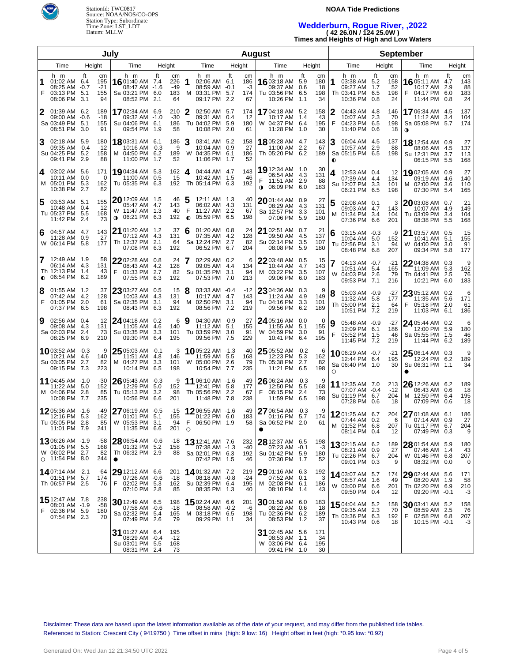

StationId: TWC0817 Source: NOAA/NOS/CO-OPS Station Type: Subordinate Time Zone: LST\_LDT Datum: MLLW

### **NOAA Tide Predictions**

# **Wedderburn, Rogue River, ,2022 ( 42 26.0N / 124 25.0W )**

**Times and Heights of High and Low Waters**

| July   |                                                                           |        |                                 |                                                                                         |        | <b>August</b>                 |                     |                                                                            |     |                              |                |                                                                        | <b>September</b> |                              |                |                                                                            |                          |                              |                                                                       |                  |                              |
|--------|---------------------------------------------------------------------------|--------|---------------------------------|-----------------------------------------------------------------------------------------|--------|-------------------------------|---------------------|----------------------------------------------------------------------------|-----|------------------------------|----------------|------------------------------------------------------------------------|------------------|------------------------------|----------------|----------------------------------------------------------------------------|--------------------------|------------------------------|-----------------------------------------------------------------------|------------------|------------------------------|
|        | Time                                                                      | Height |                                 | Time                                                                                    | Height |                               |                     | Time                                                                       |     | Height                       |                | Time                                                                   |                  | Height                       |                | Time                                                                       |                          | Height                       | Time                                                                  |                  | Height                       |
| 1<br>F | h m<br>01:02 AM 6.4<br>08:25 AM -0.7<br>03:13 PM 5.1<br>08:06 PM 3.1      | ft     | cm<br>195<br>$-21$<br>155<br>94 | h m<br>16 01:40 AM 7.4<br>08:47 AM -1.6<br>Sa 03:21 PM 6.0<br>08:52 PM 2.1              | ft     | cm<br>226<br>-49<br>183<br>64 | 1                   | h m<br>02:06 AM 6.1<br>08:59 AM -0.1<br>M 03:31 PM 5.7<br>09:17 PM 2.2     | ft  | cm<br>186<br>-3<br>174<br>67 |                | h m<br>1603:18 AM<br>09:37 AM<br>Tu 03:56 PM 6.5<br>10:26 PM 1.1       | ft<br>5.9<br>0.6 | cm<br>180<br>18<br>198<br>34 | 1              | h m<br>03:38 AM 5.2<br>09:27 AM<br>Th 03:41 PM<br>10:36 PM                 | ft<br>-1.7<br>6.5<br>0.8 | cm<br>158<br>52<br>198<br>24 | h m<br>1605:11 AM<br>10:17 AM<br>04:17 PM 6.0<br>F<br>11:44 PM 0.8    | ft<br>4.7<br>2.9 | cm<br>143<br>88<br>183<br>24 |
| 2      | 01:39 AM 6.2<br>09:00 AM -0.6<br>Sa 03:49 PM 5.1<br>08:51 PM              | -3.0   | 189<br>-18<br>155<br>91         | 1702:34 AM 6.9<br>09:32 AM -1.0<br>Su 04:06 PM 6.1<br>09:54 PM 1.9                      |        | 210<br>$-30$<br>186<br>58     | 2                   | 02:50 AM 5.7<br>09:31 AM 0.4<br>Tu 04:02 PM 5.9<br>10:08 PM 2.0            |     | 174<br>12<br>180<br>61       |                | <b>17</b> 04:18 AM<br>10:17 AM 1.4<br>W 04:37 PM 6.4<br>11:28 PM 1.0   | 5.2              | 158<br>43<br>195<br>30       | F              | 04:43 AM 4.8<br>10:07 AM<br>04:23 PM 6.5<br>11:40 PM                       | 2.3<br>0.6               | 146<br>70<br>198<br>18       | 1706:34 AM 4.5<br>11:12 AM<br>Sa 05:08 PM 5.7<br>$\mathbf 0$          | 3.4              | 137<br>104<br>174            |
| 3      | 02:18 AM 5.9<br>09:35 AM -0.4<br>Su 04:25 PM 5.2<br>09:41 PM 2.9          |        | 180<br>$-12$<br>158<br>88       | 18 03:31 AM 6.1<br>10:16 AM -0.3<br>M 04:50 PM 6.2<br>11:00 PM                          | 1.7    | 186<br>-9<br>189<br>52        |                     | 03:41 AM 5.2<br>10:04 AM 0.9<br>W 04:35 PM 6.1<br>11:06 PM                 | 1.7 | 158<br>27<br>186<br>52       |                | <b>18</b> 05:28 AM 4.7<br>11:00 AM<br>Th 05:20 PM 6.2                  | 2.2              | 143<br>67<br>189             | 3<br>$\bullet$ | 06:04 AM 4.5<br>10:57 AM<br>Sa 05:15 PM 6.5                                | 2.9                      | 137<br>88<br>198             | 18 12:54 AM 0.9<br>08:06 AM 4.5<br>Su 12:31 PM 3.7<br>06:15 PM 5.5    |                  | 27<br>137<br>113<br>168      |
| 4      | 03:02 AM 5.6<br>10:11 AM 0.0<br>M 05:01 PM 5.3<br>10:38 PM 2.7            |        | 171<br>0<br>162<br>82           | 19,04:34 AM 5.3<br>11:00 AM 0.5<br>Tu 05:35 PM 6.3                                      |        | 162<br>15<br>192              | 4                   | 04:44 AM 4.7<br>10:42 AM 1.5<br>Th 05:14 PM 6.3                            |     | 143<br>46<br>192             | F<br>$\bullet$ | 19 12:34 AM 1.0<br>06:54 AM 4.3<br>11:51 AM 2.9<br>06:09 PM 6.0        |                  | 30<br>131<br>88<br>183       | 4              | 12:53 AM 0.4<br>07:39 AM 4.4<br>Su 12:07 PM<br>06:21 PM 6.5                | 3.3                      | 12<br>134<br>101<br>198      | 19,02:05 AM 0.9<br>09:19 AM 4.6<br>02:00 PM 3.6<br>M<br>07:30 PM 5.4  |                  | 27<br>140<br>110<br>165      |
| 5      | 03:53 AM 5.1<br>10:48 AM 0.4<br>Tu 05:37 PM 5.5<br>11:42 PM 2.4           |        | 155<br>-12<br>168<br>73         | $20$ 12:09 AM $\,$ 1.5<br>05:47 AM 4.7<br>W 11:47 AM 1.3<br>06:21 PM 6.3<br>$\mathbf 0$ |        | 46<br>143<br>40<br>192        | 5<br>F<br>$\bullet$ | 12:11 AM 1.3<br>06:02 AM 4.3<br>11:27 AM 2.2<br>05:59 PM 6.5               |     | 40<br>131<br>67<br>198       |                | 2001:44 AM 0.9<br>08:29 AM<br>Sa 12:57 PM<br>07:06 PM 5.9              | 4.3<br>3.3       | 27<br>131<br>101<br>180      | 5<br>м         | 02:08 AM 0.1<br>09:03 AM 4.7<br>01:34 PM<br>07:36 PM 6.6                   | 3.4                      | 3<br>143<br>104<br>201       | 2003:08 AM 0.7<br>10:07 AM 4.9<br>Tu 03:09 PM 3.4<br>08:38 PM 5.5     |                  | 21<br>149<br>104<br>168      |
| 6      | 04:57 AM 4.7<br>11:28 AM 0.9<br>W 06:14 PM                                | 5.8    | 143<br>27<br>177                | 21 01:20 AM 1.2<br>07:12 AM 4.3<br>Th 12:37 PM 2.1<br>07:08 PM 6.3                      |        | 37<br>131<br>64<br>192        | 6                   | 01:20 AM 0.8<br>07:35 AM 4.2<br>Sa 12:24 PM 2.7<br>06:52 PM 6.7            |     | 24<br>128<br>82<br>204       |                | <b>21</b> 02:51 AM 0.7<br>09:50 AM<br>Su 02:14 PM<br>08:08 PM 5.9      | 4.5<br>3.5       | 21<br>137<br>107<br>180      | 6              | 03:15 AM -0.3<br>10:04 AM 5.0<br>Tu 02:56 PM<br>08:48 PM 6.8               | 3.1                      | -9<br>152<br>94<br>207       | 21 03:57 AM 0.5<br>10:41 AM 5.1<br>W 04:00 PM 3.0<br>09:34 PM 5.8     |                  | 15<br>155<br>91<br>177       |
| 7      | 12:49 AM 1.9<br>06:14 AM 4.3<br>Th 12:13 PM 1.4<br>$\bullet$ 06:54 PM 6.2 |        | 58<br>131<br>43<br>189          | $2202:28$ AM 0.8<br>08:43 AM 4.2<br>F<br>01:33 PM 2.7<br>07:55 PM 6.3                   |        | 24<br>128<br>82<br>192        |                     | 02:29 AM 0.2<br>09:05 AM 4.4<br>Su 01:35 PM<br>07:53 PM 7.0                | 3.1 | 6<br>134<br>94<br>213        |                | $2203:48$ AM $0.5$<br>10:44 AM<br>M 03:22 PM<br>09:06 PM 6.0           | 4.7<br>3.5       | 15<br>143<br>107<br>183      | W              | 04:13 AM -0.7<br>10:51 AM 5.4<br>04:03 PM<br>09:53 PM 7.1                  | 2.6                      | $-21$<br>165<br>79<br>216    | 22 04:38 AM 0.3<br>11:09 AM 5.3<br>Th 04:41 PM 2.5<br>10:21 PM 6.0    |                  | 9<br>162<br>76<br>183        |
| 8<br>F | $01:55$ AM $1.2$<br>07:42 AM 4.2<br>01:05 PM 2.0<br>07:37 PM 6.5          |        | 37<br>128<br>61<br>198          | $2303:27$ AM $0.5$<br>10:03 AM 4.3<br>Sa 02:35 PM<br>08:43 PM 6.3                       | 3.1    | 15<br>131<br>94<br>192        | м                   | 03:33 AM -0.4<br>10:17 AM 4.7<br>02:50 PM 3.1<br>08:56 PM 7.2              |     | -12<br>143<br>94<br>219      |                | 23 04:36 AM 0.3<br>11:24 AM<br>Tu 04:16 PM 3.3<br>09:56 PM 6.2         | 4.9              | 9<br>149<br>101<br>189       | 8              | 05:03 AM -0.9<br>11:32 AM 5.8<br>Th 05:00 PM<br>10:51 PM 7.2               | 2.1                      | -27<br>177<br>64<br>219      | 23 05:12 AM 0.2<br>11:35 AM 5.6<br>05:18 PM 2.0<br>F<br>11:03 PM 6.1  |                  | 6<br>171<br>61<br>186        |
| 9      | 02:56 AM 0.4<br>09:08 AM 4.3<br>Sa 02:03 PM 2.4<br>08:25 PM 6.9           |        | 12<br>131<br>73<br>210          | $24$ 04:18 AM 0.2<br>11:05 AM 4.6<br>Su 03:35 PM<br>09:30 PM 6.4                        | 3.3    | 6<br>140<br>101<br>195        | 9                   | 04:30 AM -0.9<br>11:12 AM 5.1<br>Tu 03:59 PM 3.0<br>09:56 PM 7.5           |     | -27<br>155<br>91<br>229      |                | 24 05:16 AM 0.0<br>11:55 AM 5.1<br>W 04:59 PM 3.0<br>10:41 PM 6.4      |                  | $\Omega$<br>155<br>91<br>195 |                | 05:48 AM -0.9<br>12:09 PM 6.1<br>05:52 PM<br>11:45 PM 7.2                  | - 1.5                    | -27<br>186<br>46<br>219      | 24 05:44 AM 0.2<br>12:00 PM 5.9<br>Sa 05:55 PM 1.5<br>11:44 PM 6.2    |                  | 6<br>180<br>46<br>189        |
|        | 1003:52 AM -0.3<br>10:21 AM 4.6<br>Su 03:05 PM<br>09:15 PM 7.3            | 2.7    | -9<br>140<br>82<br>223          | $25$ 05:03 AM $-0.1$<br>11:51 AM 4.8<br>M 04:27 PM 3.3<br>10:14 PM 6.5                  |        | -3<br>146<br>101<br>198       |                     | <b>10</b> 05:22 AM -1.3<br>11:59 AM 5.5<br>W 05:00 PM 2.6<br>10:54 PM 7.7  |     | -40<br>168<br>79<br>235      |                | $2505:52$ AM $-0.2$<br>12:23 PM 5.3<br>Th 05:38 PM 2.7<br>11:21 PM 6.5 |                  | -6<br>162<br>82<br>198       | $\circ$        | $10^{06:29}$ AM $-0.7$<br>12:44 PM 6.4<br>Sa 06:40 PM 1.0                  |                          | $-21$<br>195<br>30           | 25 06:14 AM 0.3<br>12:24 PM 6.2<br>Su 06:31 PM 1.1                    |                  | 9<br>189<br>34               |
|        | 11 04:45 AM   -1.0<br>11:22 AM 5.0<br>M 04:06 PM<br>10:08 PM 7.7          | -2.8   | $-30$<br>152<br>85<br>235       | $2605:43$ AM $-0.3$<br>12:29 PM 5.0<br>Tu 05:13 PM 3.2<br>10:56 PM 6.6                  |        | -9<br>152<br>98<br>201        |                     | 11 06:10 AM -1.6<br>12:41 PM 5.8<br>Th 05:56 PM 2.2<br>11:48 PM 7.8        |     | -49<br>177<br>67<br>238      | F              | $2606:24 AM -0.3$<br>12:50 PM 5.5<br>06:15 PM 2.4<br>11:59 PM 6.5      |                  | -9<br>168<br>73<br>198       |                | <b>11</b> 12:35 AM 7.0<br>07:07 AM -0.4<br>Su 01:19 PM 6.7<br>07:28 PM 0.6 |                          | 213<br>$-12$<br>204<br>18    | 26 12:26 AM 6.2<br>06:43 AM 0.6<br>M 12:50 PM 6.4<br>07:09 PM 0.6     |                  | 189<br>18<br>195<br>18       |
|        | 12 05:36 AM -1.6<br>12:16 PM 5.3<br>Tu 05:05 PM 2.8<br>11:01 PM 7.9       |        | -49<br>162<br>85<br>241         | $2706:19$ AM $-0.5$<br>01:01 PM 5.1<br>W 05:53 PM 3.1<br>11:35 PM 6.6                   |        | $-15$<br>155<br>94<br>201     | F.<br>$\circ$       | $1206:55$ AM $-1.6$<br>01:22 PM 6.0<br>06:50 PM 1.9                        |     | -49<br>183<br>58             |                | 27 06:54 AM -0.3<br>01:16 PM 5.7<br>Sa 06:52 PM 2.0                    |                  | -9<br>174<br>61              |                | 1201:25 AM 6.7<br>07:44 AM 0.2<br>M 01:52 PM 6.8<br>08:14 PM 0.4           |                          | 204<br>6<br>207<br>12        | 27 01:08 AM 6.1<br>07:14 AM 0.9<br>Tu 01:17 PM 6.7<br>07:49 PM 0.3    |                  | 186<br>27<br>204<br>9        |
|        | 1306:26 AM -1.9<br>01:05 PM 5.5<br>W 06:02 PM 2.7<br>$\circ$ 11:54 PM 8.0 |        | -58<br>168<br>82<br>244         | $28\,06:54\,$ AM $-0.6$<br>01:32 PM 5.2<br>Th 06:32 PM 2.9<br>$\bullet$                 |        | -18<br>158<br>88              |                     | <b>13</b> 12:41 AM 7.6<br>07:38 AM -1.3<br>Sa 02:01 PM 6.3<br>07:42 PM 1.5 |     | 232<br>$-40$<br>192<br>46    |                | $2812:37$ AM 6.5<br>07:23 AM -0.1<br>Su 01:42 PM 5.9<br>07:30 PM 1.7   |                  | 198<br>$-3$<br>180<br>52     |                | 1302:15 AM 6.2<br>08:21 AM 0.9<br>Tu 02:26 PM 6.7<br>09:01 PM 0.3          |                          | 189<br>27<br>204<br>9        | 28 01:54 AM 5.9<br>07:46 AM 1.4<br>W 01:46 PM 6.8<br>08:32 PM 0.0     |                  | 180<br>43<br>207<br>0        |
|        | 1407:14 AM -2.1<br>01:51 PM 5.7<br>Th 06:57 PM 2.5                        |        | -64<br>174<br>76                | $29$ 12:12 AM 6.6<br>07:26 AM -0.6<br>F<br>02:02 PM 5.3<br>07:10 PM 2.8                 |        | 201<br>$-18$<br>162<br>85     |                     | <b>14</b> 01:32 AM 7.2<br>08:18 AM -0.8<br>Su 02:39 PM 6.4<br>08:35 PM 1.3 |     | 219<br>$-24$<br>195<br>40    |                | $2901:16$ AM 6.3<br>$07:52$ AM $0.1$<br>M 02:08 PM 6.1<br>08:10 PM 1.4 |                  | 192<br>3<br>186<br>43        |                | 1403:07 AM 5.7<br>08:57 AM<br>W 03:00 PM 6.6<br>09:50 PM 0.4               | 1.6                      | 174<br>49<br>201<br>12       | 29 02:44 AM 5.6<br>08:20 AM 1.9<br>Th 02:20 PM 6.9<br>09:20 PM -0.1   |                  | 171<br>58<br>210<br>$-3$     |
| F      | 15 12:47 AM 7.8<br>08:01 AM -1.9<br>02:36 PM 5.9<br>07:54 PM 2.3          |        | 238<br>$-58$<br>180<br>70       | 30 12:49 AM 6.5<br>07:58 AM -0.6<br>Sa 02:32 PM 5.4<br>07:49 PM 2.6                     |        | 198<br>-18<br>165<br>79       | M                   | 1502:24 AM 6.6<br>08:58 AM -0.2<br>03:18 PM 6.5<br>09:29 PM 1.1            |     | 201<br>-6<br>198<br>34       |                | $30$ 01:58 AM 6.0<br>08:22 AM 0.6<br>Tu 02:36 PM 6.2<br>08:53 PM 1.2   |                  | 183<br>18<br>189<br>37       |                | 1504:04 AM 5.2<br>09:35 AM<br>Th 03:36 PM 6.3<br>10:43 PM 0.6              | 2.3                      | 158<br>70<br>192<br>18       | 30 03:41 AM 5.2<br>08:59 AM 2.5<br>F<br>02:58 PM 6.8<br>10:15 PM -0.1 |                  | 158<br>76<br>207<br>$-3$     |
|        |                                                                           |        |                                 | 31 01:27 AM 6.4<br>08:29 AM -0.4<br>Su 03:01 PM 5.5<br>08:31 PM 2.4                     |        | 195<br>$-12$<br>168<br>73     |                     |                                                                            |     |                              |                | 31 02:45 AM 5.6<br>08:53 AM 1.1<br>W 03:06 PM 6.4<br>09:41 PM 1.0      |                  | 171<br>34<br>195<br>30       |                |                                                                            |                          |                              |                                                                       |                  |                              |